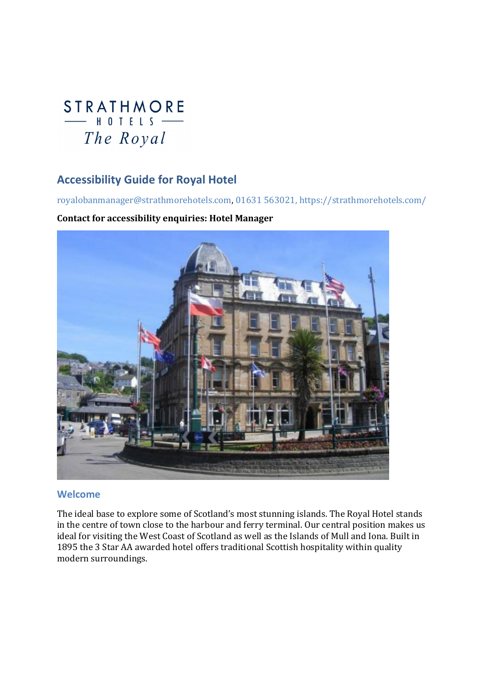# **STRATHMORE**  $-$  HOTFIS  $-$ The Royal

### Accessibility Guide for Royal Hotel

royalobanmanager@strathmorehotels.com, 01631 563021, https://strathmorehotels.com/

#### Contact for accessibility enquiries: Hotel Manager



#### Welcome

The ideal base to explore some of Scotland's most stunning islands. The Royal Hotel stands in the centre of town close to the harbour and ferry terminal. Our central position makes us ideal for visiting the West Coast of Scotland as well as the Islands of Mull and Iona. Built in 1895 the 3 Star AA awarded hotel offers traditional Scottish hospitality within quality modern surroundings.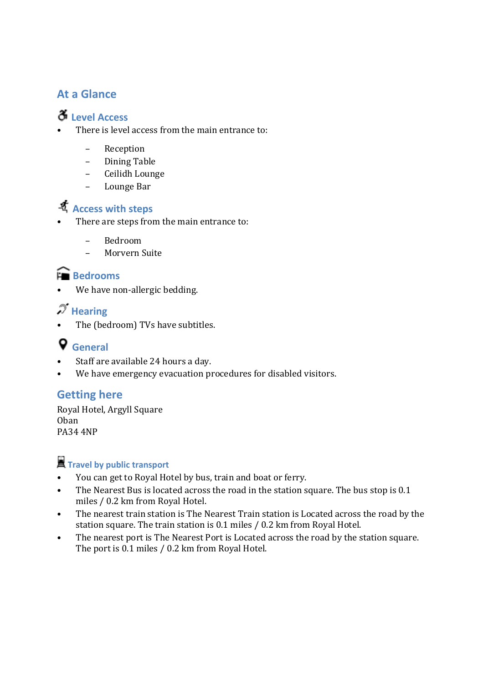### At a Glance

### Level Access

- There is level access from the main entrance to:
	- Reception
	- Dining Table
	- Ceilidh Lounge
	- Lounge Bar

# Access with steps

- There are steps from the main entrance to:
	- Bedroom
	- Morvern Suite

### **Exercise** Bedrooms

We have non-allergic bedding.

## $\mathscr{\mathscr{F}}$  Hearing

The (bedroom) TVs have subtitles.

# General

- Staff are available 24 hours a day.
- We have emergency evacuation procedures for disabled visitors.

### Getting here

Royal Hotel, Argyll Square Oban PA34 4NP

# **T** Travel by public transport

- You can get to Royal Hotel by bus, train and boat or ferry.
- The Nearest Bus is located across the road in the station square. The bus stop is 0.1 miles / 0.2 km from Royal Hotel.
- The nearest train station is The Nearest Train station is Located across the road by the station square. The train station is 0.1 miles / 0.2 km from Royal Hotel.
- The nearest port is The Nearest Port is Located across the road by the station square. The port is 0.1 miles / 0.2 km from Royal Hotel.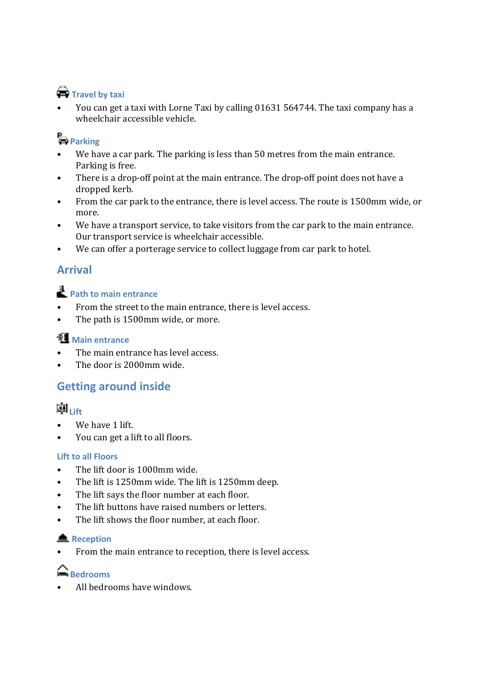# **Travel by taxi**

• You can get a taxi with Lorne Taxi by calling 01631 564744. The taxi company has a wheelchair accessible vehicle.

# **Parking**

- We have a car park. The parking is less than 50 metres from the main entrance. Parking is free.
- There is a drop-off point at the main entrance. The drop-off point does not have a dropped kerb.
- From the car park to the entrance, there is level access. The route is 1500mm wide, or more.
- We have a transport service, to take visitors from the car park to the main entrance. Our transport service is wheelchair accessible.
- We can offer a porterage service to collect luggage from car park to hotel.

## Arrival

# Path to main entrance

- From the street to the main entrance, there is level access.
- The path is 1500mm wide, or more.

### **Main entrance**

- The main entrance has level access.
- The door is 2000mm wide.

### Getting around inside

## 菡<sub>Lift</sub>

- We have 1 lift.
- You can get a lift to all floors.

### Lift to all Floors

- The lift door is 1000mm wide.
- The lift is 1250mm wide. The lift is 1250mm deep.
- The lift says the floor number at each floor.
- The lift buttons have raised numbers or letters.
- The lift shows the floor number, at each floor.

### **▲** Reception

• From the main entrance to reception, there is level access.

### **Bedrooms**

• All bedrooms have windows.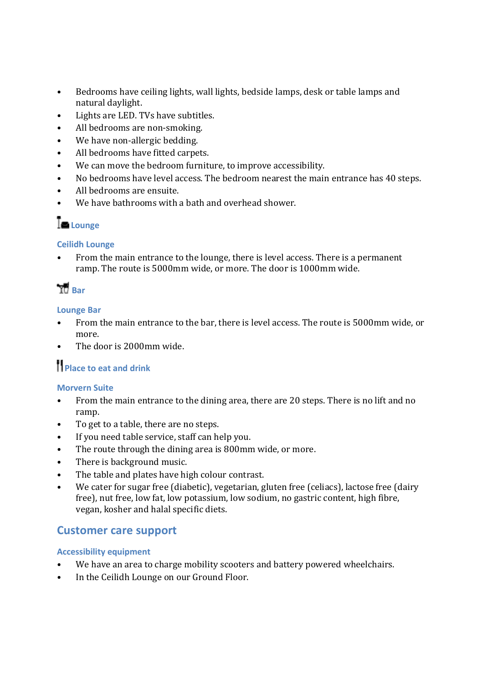- Bedrooms have ceiling lights, wall lights, bedside lamps, desk or table lamps and natural daylight.
- Lights are LED. TVs have subtitles.
- All bedrooms are non-smoking.
- We have non-allergic bedding.
- All bedrooms have fitted carpets.
- We can move the bedroom furniture, to improve accessibility.
- No bedrooms have level access. The bedroom nearest the main entrance has 40 steps.
- All bedrooms are ensuite.
- We have bathrooms with a bath and overhead shower.

# Lounge

#### Ceilidh Lounge

• From the main entrance to the lounge, there is level access. There is a permanent ramp. The route is 5000mm wide, or more. The door is 1000mm wide.

# **TD** Bar

#### Lounge Bar

- From the main entrance to the bar, there is level access. The route is 5000mm wide, or more.
- The door is 2000mm wide.

# Place to eat and drink

#### Morvern Suite

- From the main entrance to the dining area, there are 20 steps. There is no lift and no ramp.
- To get to a table, there are no steps.
- If you need table service, staff can help you.
- The route through the dining area is 800mm wide, or more.
- There is background music.
- The table and plates have high colour contrast.
- We cater for sugar free (diabetic), vegetarian, gluten free (celiacs), lactose free (dairy free), nut free, low fat, low potassium, low sodium, no gastric content, high fibre, vegan, kosher and halal specific diets.

### Customer care support

#### Accessibility equipment

- We have an area to charge mobility scooters and battery powered wheelchairs.
- In the Ceilidh Lounge on our Ground Floor.